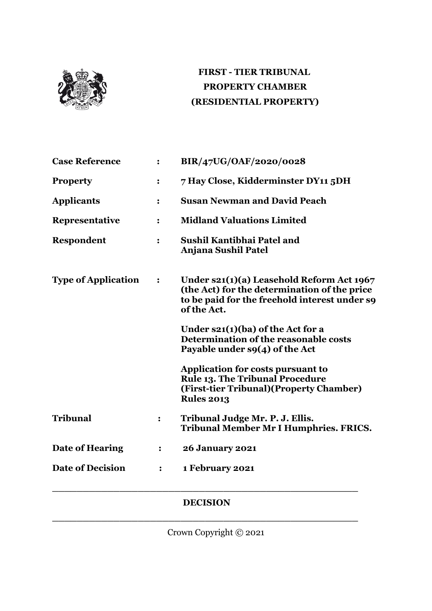

# **FIRST - TIER TRIBUNAL PROPERTY CHAMBER (RESIDENTIAL PROPERTY)**

| <b>Case Reference</b>      | $\ddot{\cdot}$   | BIR/47UG/OAF/2020/0028                                                                                                                                      |
|----------------------------|------------------|-------------------------------------------------------------------------------------------------------------------------------------------------------------|
| <b>Property</b>            | :                | 7 Hay Close, Kidderminster DY11 5DH                                                                                                                         |
| <b>Applicants</b>          | $\ddot{\cdot}$   | <b>Susan Newman and David Peach</b>                                                                                                                         |
| Representative             | $\ddot{\cdot}$   | <b>Midland Valuations Limited</b>                                                                                                                           |
| Respondent                 | $\ddot{\cdot}$   | Sushil Kantibhai Patel and<br><b>Anjana Sushil Patel</b>                                                                                                    |
| <b>Type of Application</b> | $\ddot{\bullet}$ | Under $s21(1)(a)$ Leasehold Reform Act 1967<br>(the Act) for the determination of the price<br>to be paid for the freehold interest under so<br>of the Act. |
|                            |                  | Under $s21(1)(ba)$ of the Act for a<br>Determination of the reasonable costs<br>Payable under $s9(4)$ of the Act                                            |
|                            |                  | Application for costs pursuant to<br><b>Rule 13. The Tribunal Procedure</b><br>(First-tier Tribunal) (Property Chamber)<br><b>Rules 2013</b>                |
| <b>Tribunal</b>            | :                | Tribunal Judge Mr. P. J. Ellis.<br><b>Tribunal Member Mr I Humphries. FRICS.</b>                                                                            |
| Date of Hearing            | $\ddot{\cdot}$   | <b>26 January 2021</b>                                                                                                                                      |
| <b>Date of Decision</b>    | :                | 1 February 2021                                                                                                                                             |
|                            |                  |                                                                                                                                                             |

### **DECISION**

**\_\_\_\_\_\_\_\_\_\_\_\_\_\_\_\_\_\_\_\_\_\_\_\_\_\_\_\_\_\_\_\_\_\_\_\_\_\_\_\_\_\_\_\_\_\_\_\_\_\_**

Crown Copyright © 2021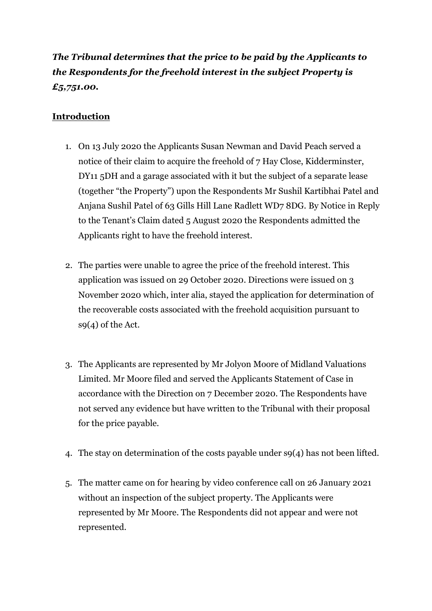# *The Tribunal determines that the price to be paid by the Applicants to the Respondents for the freehold interest in the subject Property is £5,751.00.*

## **Introduction**

- 1. On 13 July 2020 the Applicants Susan Newman and David Peach served a notice of their claim to acquire the freehold of 7 Hay Close, Kidderminster, DY11 5DH and a garage associated with it but the subject of a separate lease (together "the Property") upon the Respondents Mr Sushil Kartibhai Patel and Anjana Sushil Patel of 63 Gills Hill Lane Radlett WD7 8DG. By Notice in Reply to the Tenant's Claim dated 5 August 2020 the Respondents admitted the Applicants right to have the freehold interest.
- 2. The parties were unable to agree the price of the freehold interest. This application was issued on 29 October 2020. Directions were issued on 3 November 2020 which, inter alia, stayed the application for determination of the recoverable costs associated with the freehold acquisition pursuant to s9(4) of the Act.
- 3. The Applicants are represented by Mr Jolyon Moore of Midland Valuations Limited. Mr Moore filed and served the Applicants Statement of Case in accordance with the Direction on 7 December 2020. The Respondents have not served any evidence but have written to the Tribunal with their proposal for the price payable.
- 4. The stay on determination of the costs payable under s9(4) has not been lifted.
- 5. The matter came on for hearing by video conference call on 26 January 2021 without an inspection of the subject property. The Applicants were represented by Mr Moore. The Respondents did not appear and were not represented.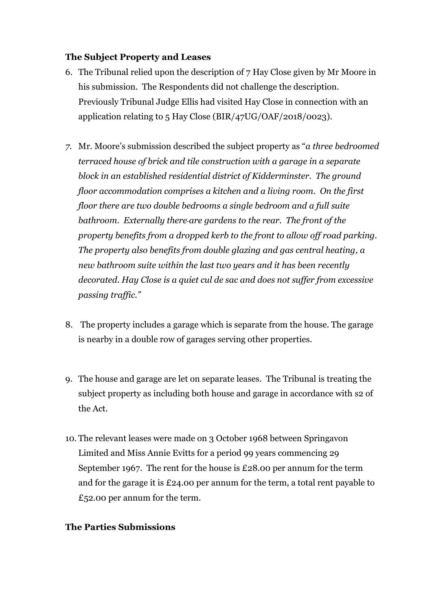#### **The Subject Property and Leases**

- 6. The Tribunal relied upon the description of 7 Hay Close given by Mr Moore in his submission. The Respondents did not challenge the description. Previously Tribunal Judge Ellis had visited Hay Close in connection with an application relating to 5 Hay Close (BIR/47UG/OAF/2018/0023).
- *7.* Mr. Moore's submission described the subject property as "*a three bedroomed terraced house of brick and tile construction with a garage in a separate block in an established residential district of Kidderminster. The ground floor accommodation comprises a kitchen and a living room. On the first floor there are two double bedrooms a single bedroom and a full suite bathroom. Externally there are gardens to the rear. The front of the property benefits from a dropped kerb to the front to allow off road parking. The property also benefits from double glazing and gas central heating, a new bathroom suite within the last two years and it has been recently decorated. Hay Close is a quiet cul de sac and does not suffer from excessive passing traffic."*
- 8. The property includes a garage which is separate from the house. The garage is nearby in a double row of garages serving other properties.
- 9. The house and garage are let on separate leases. The Tribunal is treating the subject property as including both house and garage in accordance with s2 of the Act.
- 10. The relevant leases were made on 3 October 1968 between Springavon Limited and Miss Annie Evitts for a period 99 years commencing 29 September 1967. The rent for the house is £28.00 per annum for the term and for the garage it is £24.00 per annum for the term, a total rent payable to £52.00 per annum for the term.

#### **The Parties Submissions**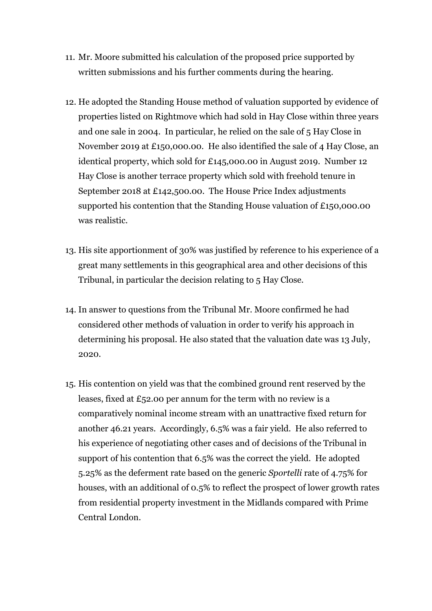- 11. Mr. Moore submitted his calculation of the proposed price supported by written submissions and his further comments during the hearing.
- 12. He adopted the Standing House method of valuation supported by evidence of properties listed on Rightmove which had sold in Hay Close within three years and one sale in 2004. In particular, he relied on the sale of 5 Hay Close in November 2019 at £150,000.00. He also identified the sale of 4 Hay Close, an identical property, which sold for £145,000.00 in August 2019. Number 12 Hay Close is another terrace property which sold with freehold tenure in September 2018 at £142,500.00. The House Price Index adjustments supported his contention that the Standing House valuation of £150,000.00 was realistic.
- 13. His site apportionment of 30% was justified by reference to his experience of a great many settlements in this geographical area and other decisions of this Tribunal, in particular the decision relating to 5 Hay Close.
- 14. In answer to questions from the Tribunal Mr. Moore confirmed he had considered other methods of valuation in order to verify his approach in determining his proposal. He also stated that the valuation date was 13 July, 2020.
- 15. His contention on yield was that the combined ground rent reserved by the leases, fixed at £52.00 per annum for the term with no review is a comparatively nominal income stream with an unattractive fixed return for another 46.21 years. Accordingly, 6.5% was a fair yield. He also referred to his experience of negotiating other cases and of decisions of the Tribunal in support of his contention that 6.5% was the correct the yield. He adopted 5.25% as the deferment rate based on the generic *Sportelli* rate of 4.75% for houses, with an additional of 0.5% to reflect the prospect of lower growth rates from residential property investment in the Midlands compared with Prime Central London.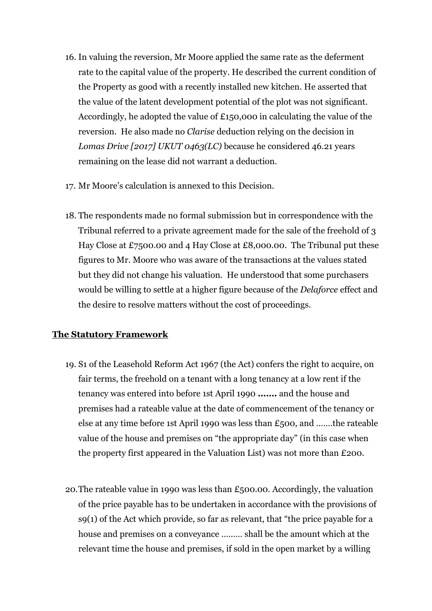- 16. In valuing the reversion, Mr Moore applied the same rate as the deferment rate to the capital value of the property. He described the current condition of the Property as good with a recently installed new kitchen. He asserted that the value of the latent development potential of the plot was not significant. Accordingly, he adopted the value of £150,000 in calculating the value of the reversion. He also made no *Clarise* deduction relying on the decision in *Lomas Drive [2017] UKUT 0463(LC)* because he considered 46.21 years remaining on the lease did not warrant a deduction.
- 17. Mr Moore's calculation is annexed to this Decision.
- 18. The respondents made no formal submission but in correspondence with the Tribunal referred to a private agreement made for the sale of the freehold of 3 Hay Close at £7500.00 and 4 Hay Close at £8,000.00. The Tribunal put these figures to Mr. Moore who was aware of the transactions at the values stated but they did not change his valuation. He understood that some purchasers would be willing to settle at a higher figure because of the *Delaforce* effect and the desire to resolve matters without the cost of proceedings.

#### **The Statutory Framework**

- 19. S1 of the Leasehold Reform Act 1967 (the Act) confers the right to acquire, on fair terms, the freehold on a tenant with a long tenancy at a low rent if the tenancy was entered into before 1st April 1990 **…….** and the house and premises had a rateable value at the date of commencement of the tenancy or else at any time before 1st April 1990 was less than £500, and …….the rateable value of the house and premises on "the appropriate day" (in this case when the property first appeared in the Valuation List) was not more than £200.
- 20.The rateable value in 1990 was less than £500.00. Accordingly, the valuation of the price payable has to be undertaken in accordance with the provisions of s9(1) of the Act which provide, so far as relevant, that "the price payable for a house and premises on a conveyance ……… shall be the amount which at the relevant time the house and premises, if sold in the open market by a willing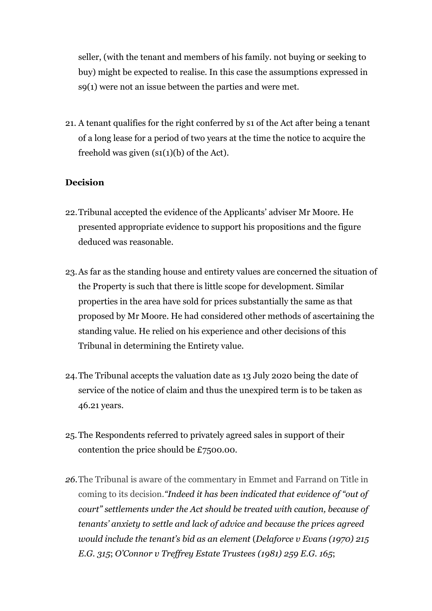seller, (with the tenant and members of his family. not buying or seeking to buy) might be expected to realise. In this case the assumptions expressed in s9(1) were not an issue between the parties and were met.

21. A tenant qualifies for the right conferred by s1 of the Act after being a tenant of a long lease for a period of two years at the time the notice to acquire the freehold was given  $(s_1(1)(b))$  of the Act).

### **Decision**

- 22.Tribunal accepted the evidence of the Applicants' adviser Mr Moore. He presented appropriate evidence to support his propositions and the figure deduced was reasonable.
- 23.As far as the standing house and entirety values are concerned the situation of the Property is such that there is little scope for development. Similar properties in the area have sold for prices substantially the same as that proposed by Mr Moore. He had considered other methods of ascertaining the standing value. He relied on his experience and other decisions of this Tribunal in determining the Entirety value.
- 24.The Tribunal accepts the valuation date as 13 July 2020 being the date of service of the notice of claim and thus the unexpired term is to be taken as 46.21 years.
- 25.The Respondents referred to privately agreed sales in support of their contention the price should be £7500.00.
- *26.*The Tribunal is aware of the commentary in Emmet and Farrand on Title in coming to its decision.*"Indeed it has been indicated that evidence of "out of court" settlements under the Act should be treated with caution, because of tenants' anxiety to settle and lack of advice and because the prices agreed would include the tenant's bid as an element* (*[Delaforce](https://uk.westlaw.com/Link/Document/FullText?findType=Y&serNum=1970020712&pubNum=4807&originatingDoc=I0764CDC0FED711E7BF1A8BC16E2E53C7&refType=UC&originationContext=document&transitionType=CommentaryUKLink&contextData=(sc.Default)) v Evans (1970) 215 [E.G.](https://uk.westlaw.com/Link/Document/FullText?findType=Y&serNum=1970020712&pubNum=4807&originatingDoc=I0764CDC0FED711E7BF1A8BC16E2E53C7&refType=UC&originationContext=document&transitionType=CommentaryUKLink&contextData=(sc.Default)) 315*; *[O'Connor](https://uk.westlaw.com/Link/Document/FullText?findType=Y&serNum=1981033121&pubNum=4710&originatingDoc=I0764CDC0FED711E7BF1A8BC16E2E53C7&refType=UC&originationContext=document&transitionType=CommentaryUKLink&contextData=(sc.Default)) v Treffrey Estate Trustees (1981) 259 E.G. 165*;